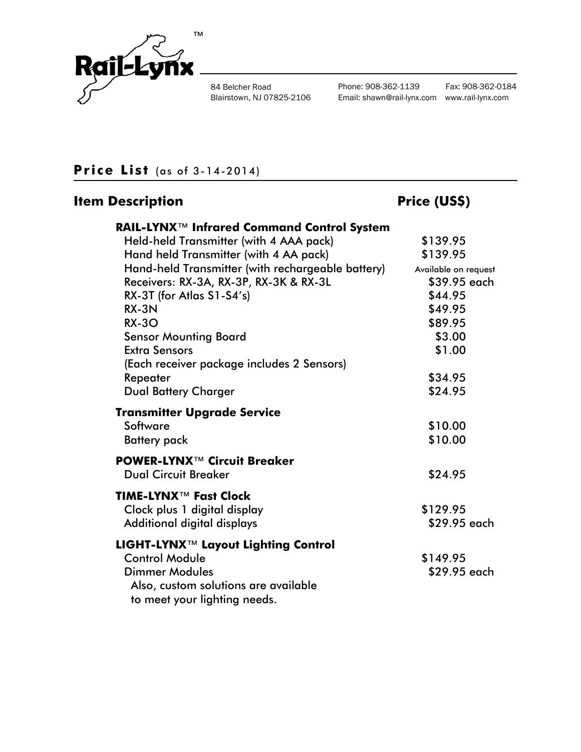

84 Belcher Road Blairstown, NJ 07825-2106 Phone: 908-362-1139 Fax: 908-362-0184 Email: shawn@rail-lynx.com www.rail-lynx.com

# **Price List** (as of 3-14-2014)

# **Item Description Community Community Price (US\$)**

| RAIL-LYNX™ Infrared Command Control System            |                      |
|-------------------------------------------------------|----------------------|
| Held-held Transmitter (with 4 AAA pack)               | \$139.95             |
| Hand held Transmitter (with 4 AA pack)                | \$139.95             |
| Hand-held Transmitter (with rechargeable battery)     | Available on request |
| Receivers: RX-3A, RX-3P, RX-3K & RX-3L                | \$39.95 each         |
| RX-3T (for Atlas S1-S4's)                             | \$44.95              |
| RX-3N                                                 | \$49.95              |
| <b>RX-30</b>                                          | \$89.95              |
| <b>Sensor Mounting Board</b>                          | \$3.00               |
| <b>Extra Sensors</b>                                  | \$1.00               |
| (Each receiver package includes 2 Sensors)            |                      |
| Repeater                                              | \$34.95              |
| <b>Dual Battery Charger</b>                           | \$24.95              |
| <b>Transmitter Upgrade Service</b>                    |                      |
| Software                                              | \$10.00              |
| <b>Battery</b> pack                                   | \$10.00              |
| <b>POWER-LYNX™ Circuit Breaker</b>                    |                      |
| <b>Dual Circuit Breaker</b>                           | \$24.95              |
| TIME-LYNX <sup>™</sup> Fast Clock                     |                      |
| Clock plus 1 digital display                          | \$129.95             |
| Additional digital displays                           | \$29.95 each         |
| <b>LIGHT-LYNX<sup>™</sup> Layout Lighting Control</b> |                      |
| <b>Control Module</b>                                 | \$149.95             |
| <b>Dimmer Modules</b>                                 | \$29.95 each         |
| Also, custom solutions are available                  |                      |
| to meet your lighting needs.                          |                      |